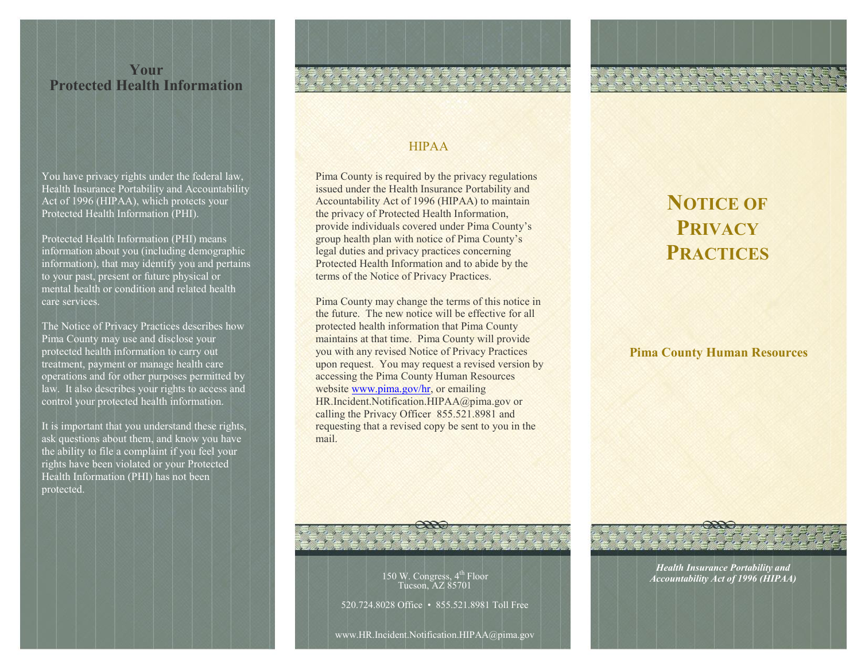## **Your Protected Health Information**

You have privacy rights under the federal law, Health Insurance Portability and Accountability Act of 1996 (HIPAA), which protects your Protected Health Information (PHI).

Protected Health Information (PHI) means information about you (including demographic information), that may identify you and pertains to your past, present or future physical or mental health or condition and related health care services.

The Notice of Privacy Practices describes how Pima County may use and disclose your protected health information to carry out treatment, payment or manage health care operations and for other purposes permitted by law. It also describes your rights to access and control your protected health information.

It is important that you understand these rights, ask questions about them, and know you have the ability to file a complaint if you feel your rights have been violated or your Protected Health Information (PHI) has not been protected.

## HIPAA

Pima County is required by the privacy regulations issued under the Health Insurance Portability and Accountability Act of 1996 (HIPAA) to maintain the privacy of Protected Health Information, provide individuals covered under Pima County's group health plan with notice of Pima County's legal duties and privacy practices concerning Protected Health Information and to abide by the terms of the Notice of Privacy Practices.

Pima County may change the terms of this notice in the future. The new notice will be effective for all protected health information that Pima County maintains at that time. Pima County will provide you with any revised Notice of Privacy Practices upon request. You may request a revised version by accessing the Pima County Human Resources website [www.pima.gov/hr,](http://www.pima.gov/hr) or emailing HR.Incident.Notification.HIPAA@pima.gov or calling the Privacy Officer 855.521.8981 and requesting that a revised copy be sent to you in the mail.

# **NOTICE OF PRIVACY PRACTICES**

## **Pima County Human Resources**



*Health Insurance Portability and Accountability Act of 1996 (HIPAA)*

150 W. Congress, 4<sup>th</sup> Floor Tucson, AZ 85701

520.724.8028 Office • 855.521.8981 Toll Free